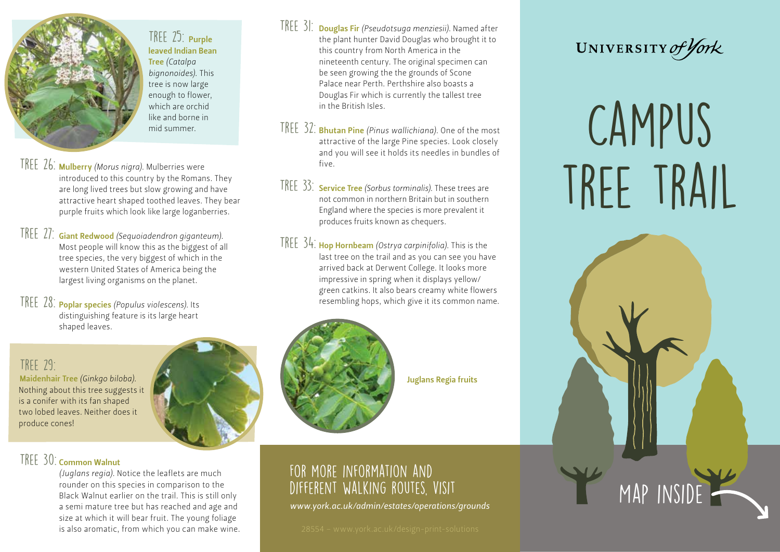

TREE 25: Purple leaved Indian Bean Tree *(Catalpa bignonoides)*. This tree is now large enough to flower, which are orchid like and borne in mid summer.

TREE 26: Mulberry *(Morus nigra)*. Mulberries were introduced to this country by the Romans. They are long lived trees but slow growing and have attractive heart shaped toothed leaves. They bear purple fruits which look like large loganberries.

TREE 27: Giant Redwood *(Sequoiadendron giganteum)*. Most people will know this as the biggest of all tree species, the very biggest of which in the western United States of America being the largest living organisms on the planet.

TREE 28: **Poplar species** *(Populus violescens)*. Its distinguishing feature is its large heart shaped leaves.

## TRFF  $29 -$

Maidenhair Tree *(Ginkgo biloba)*. Nothing about this tree suggests it is a conifer with its fan shaped two lobed leaves. Neither does it produce cones!

## TREE 30: Common Walnut

*(Juglans regia)*. Notice the leaflets are much rounder on this species in comparison to the Black Walnut earlier on the trail. This is still only a semi mature tree but has reached and age and size at which it will bear fruit. The young foliage is also aromatic, from which you can make wine. TREE 31: Douglas Fir (Pseudotsuga menziesii). Named after the plant hunter David Douglas who brought it to this country from North America in the nineteenth century. The original specimen can be seen growing the the grounds of Scone Palace near Perth. Perthshire also boasts a Douglas Fir which is currently the tallest tree in the British Isles.

- TREE 32: **Bhutan Pine** (Pinus wallichiana). One of the most attractive of the large Pine species. Look closely and you will see it holds its needles in bundles of five.
- TREE 33: **Service Tree** *(Sorbus torminalis)*. These trees are not common in northern Britain but in southern England where the species is more prevalent it produces fruits known as chequers.
- TREE 34: Hop Hornbeam *(Ostrya carpinifolia)*. This is the last tree on the trail and as you can see you have arrived back at Derwent College. It looks more impressive in spring when it displays yellow/ green catkins. It also bears creamy white flowers resembling hops, which give it its common name.



Juglans Regia fruits

## For more information and DIFFERENT WALKING ROUTES, VISIT

*www.york.ac.uk/admin/estates/operations/grounds*



# CAMPUS TREE TRAIL

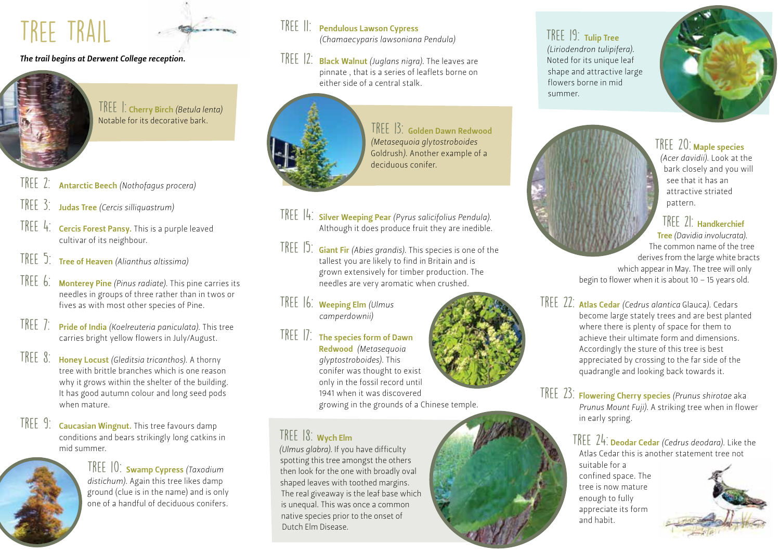## TREE TRAIL

## *The trail begins at Derwent College reception.*



TREE : Cherry Birch *(Betula lenta)* Notable for its decorative bark.

- Tree 2: Antarctic Beech *(Nothofagus procera)*
- TREE 3: **Judas Tree** *(Cercis silliquastrum)*
- $\sqrt{\frac{P(E E_4)}{P(E)}}$  Cercis Forest Pansy. This is a purple leaved cultivar of its neighbour.
- Tree 5: Tree of Heaven *(Alianthus altissima)*
- TREE 6: Monterey Pine (Pinus radiate). This pine carries its needles in groups of three rather than in twos or fives as with most other species of Pine.
- TREE 7: Pride of India *(Koelreuteria paniculata)*. This tree carries bright yellow flowers in July/August.
- TREE 8: Honey Locust *(Gleditsia tricanthos)*. A thorny tree with brittle branches which is one reason why it grows within the shelter of the building. It has good autumn colour and long seed pods when mature.
- TREE 9: Caucasian Wingnut. This tree favours damp conditions and bears strikingly long catkins in mid summer.



TREE 10: **Swamp Cypress** (Taxodium *distichum)*. Again this tree likes damp ground (clue is in the name) and is only one of a handful of deciduous conifers.

## TREE 11: Pendulous Lawson Cypress *(Chamaecyparis lawsoniana Pendula)*

TREE 12: Black Walnut *(Juglans nigra)*. The leaves are pinnate , that is a series of leaflets borne on either side of a central stalk.



TREE 3: Golden Dawn Redwood *(Metasequoia glytostroboides*  Goldrush*)*. Another example of a deciduous conifer.

- TREE 14: Silver Weeping Pear *(Pyrus salicifolius Pendula)*. Although it does produce fruit they are inedible.
- TREE 15: Giant Fir *(Abies grandis)*. This species is one of the tallest you are likely to find in Britain and is grown extensively for timber production. The needles are very aromatic when crushed.
- TREE 16: **Weeping Elm** (Ulmus *camperdownii)*
- 

 $TREE$   $|7:$  The species form of Dawn Redwood *(Metasequoia glyptostroboides)*. This conifer was thought to exist only in the fossil record until 1941 when it was discovered growing in the grounds of a Chinese temple.

## TREE 18: Wych Elm

*(Ulmus glabra)*. If you have difficulty spotting this tree amongst the others then look for the one with broadly oval shaped leaves with toothed margins. The real giveaway is the leaf base which is unequal. This was once a common native species prior to the onset of Dutch Elm Disease.





and habit.

## TREE 20: Maple species

*(Acer davidii)*. Look at the bark closely and you will see that it has an attractive striated pattern.

## $TRFF$   $2!$ : Handkerchief

Tree *(Davidia involucrata)*. The common name of the tree derives from the large white bracts which appear in May. The tree will only begin to flower when it is about 10 – 15 years old.

TREE 22: Atlas Cedar *(Cedrus alantica Glauca)*. Cedars become large stately trees and are best planted where there is plenty of space for them to achieve their ultimate form and dimensions. Accordingly the sture of this tree is best appreciated by crossing to the far side of the quadrangle and looking back towards it.

TREE 23: Flowering Cherry species (Prunus shirotae aka *Prunus Mount Fuji)*. A striking tree when in flower in early spring.

### TREE 24: Deodar Cedar *(Cedrus deodara)*. Like the Atlas Cedar this is another statement tree not suitable for a confined space. The tree is now mature enough to fully appreciate its form



shape and attractive large